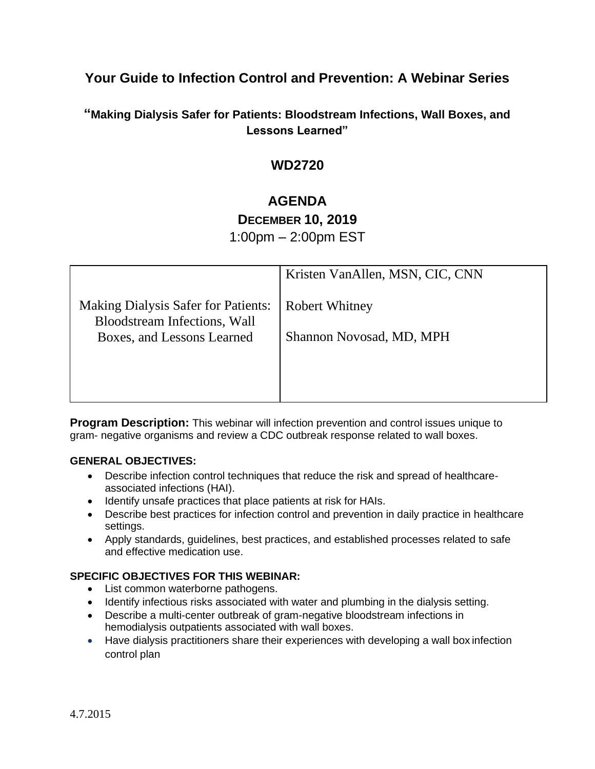## **Your Guide to Infection Control and Prevention: A Webinar Series**

## **"Making Dialysis Safer for Patients: Bloodstream Infections, Wall Boxes, and Lessons Learned"**

## **WD2720**

# **AGENDA**

# **DECEMBER 10, 2019**

1:00pm – 2:00pm EST

|                                                                                   | Kristen VanAllen, MSN, CIC, CNN |
|-----------------------------------------------------------------------------------|---------------------------------|
| <b>Making Dialysis Safer for Patients:</b><br><b>Bloodstream Infections, Wall</b> | <b>Robert Whitney</b>           |
| Boxes, and Lessons Learned                                                        | Shannon Novosad, MD, MPH        |
|                                                                                   |                                 |
|                                                                                   |                                 |

**Program Description:** This webinar will infection prevention and control issues unique to gram- negative organisms and review a CDC outbreak response related to wall boxes.

#### **GENERAL OBJECTIVES:**

- Describe infection control techniques that reduce the risk and spread of healthcareassociated infections (HAI).
- Identify unsafe practices that place patients at risk for HAIs.
- Describe best practices for infection control and prevention in daily practice in healthcare settings.
- Apply standards, guidelines, best practices, and established processes related to safe and effective medication use.

#### **SPECIFIC OBJECTIVES FOR THIS WEBINAR:**

- List common waterborne pathogens.
- Identify infectious risks associated with water and plumbing in the dialysis setting.
- Describe a multi-center outbreak of gram-negative bloodstream infections in hemodialysis outpatients associated with wall boxes.
- Have dialysis practitioners share their experiences with developing a wall box infection control plan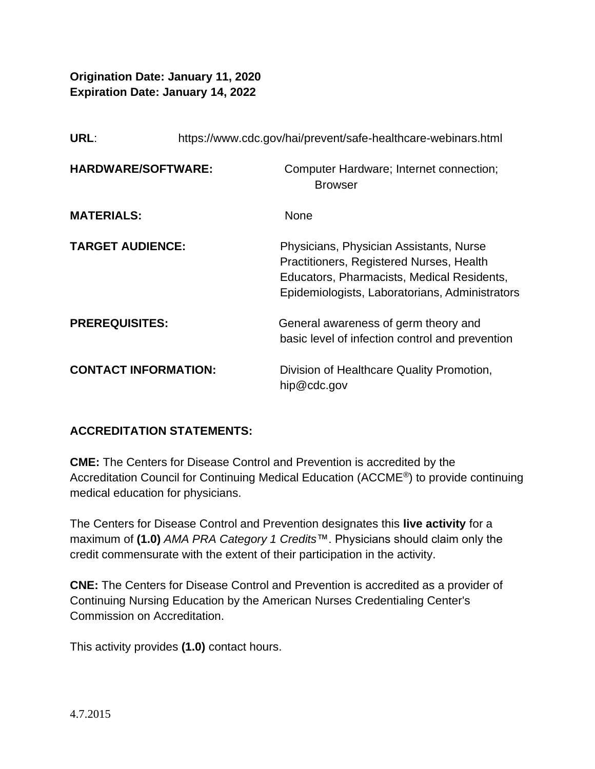**Origination Date: January 11, 2020 Expiration Date: January 14, 2022**

| URL:                      |                             | https://www.cdc.gov/hai/prevent/safe-healthcare-webinars.html                                                                                                                       |  |
|---------------------------|-----------------------------|-------------------------------------------------------------------------------------------------------------------------------------------------------------------------------------|--|
| <b>HARDWARE/SOFTWARE:</b> |                             | Computer Hardware; Internet connection;<br><b>Browser</b>                                                                                                                           |  |
| <b>MATERIALS:</b>         |                             | None                                                                                                                                                                                |  |
| <b>TARGET AUDIENCE:</b>   |                             | Physicians, Physician Assistants, Nurse<br>Practitioners, Registered Nurses, Health<br>Educators, Pharmacists, Medical Residents,<br>Epidemiologists, Laboratorians, Administrators |  |
| <b>PREREQUISITES:</b>     |                             | General awareness of germ theory and<br>basic level of infection control and prevention                                                                                             |  |
|                           | <b>CONTACT INFORMATION:</b> | Division of Healthcare Quality Promotion,<br>hip@cdc.gov                                                                                                                            |  |

### **ACCREDITATION STATEMENTS:**

**CME:** The Centers for Disease Control and Prevention is accredited by the Accreditation Council for Continuing Medical Education (ACCME®) to provide continuing medical education for physicians.

The Centers for Disease Control and Prevention designates this **live activity** for a maximum of **(1.0)** *AMA PRA Category 1 Credits*™. Physicians should claim only the credit commensurate with the extent of their participation in the activity.

**CNE:** The Centers for Disease Control and Prevention is accredited as a provider of Continuing Nursing Education by the American Nurses Credentialing Center's Commission on Accreditation.

This activity provides **(1.0)** contact hours.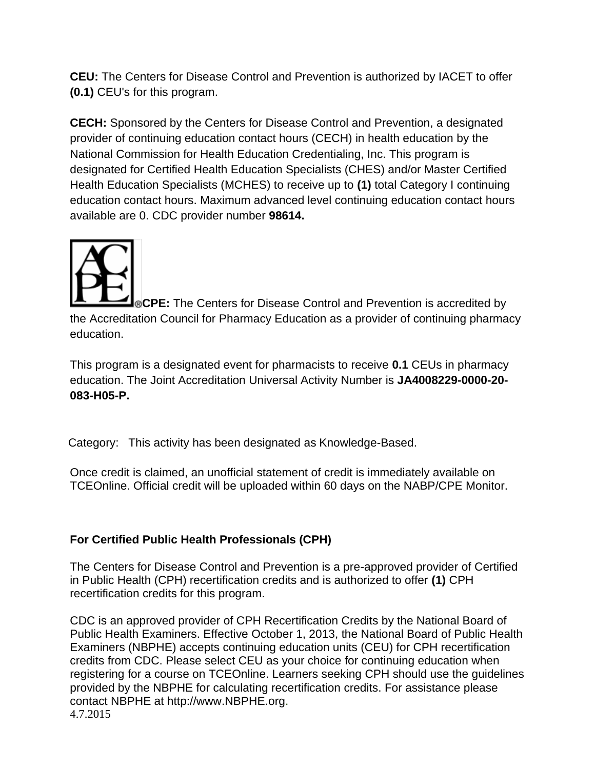**CEU:** The Centers for Disease Control and Prevention is authorized by IACET to offer **(0.1)** CEU's for this program.

**CECH:** Sponsored by the Centers for Disease Control and Prevention, a designated provider of continuing education contact hours (CECH) in health education by the National Commission for Health Education Credentialing, Inc. This program is designated for Certified Health Education Specialists (CHES) and/or Master Certified Health Education Specialists (MCHES) to receive up to **(1)** total Category I continuing education contact hours. Maximum advanced level continuing education contact hours available are 0. CDC provider number **98614.**



**CPE:** The Centers for Disease Control and Prevention is accredited by the Accreditation Council for Pharmacy Education as a provider of continuing pharmacy education.

This program is a designated event for pharmacists to receive **0.1** CEUs in pharmacy education. The Joint Accreditation Universal Activity Number is **JA4008229-0000-20- 083-H05-P.**

Category: This activity has been designated as Knowledge-Based.

Once credit is claimed, an unofficial statement of credit is immediately available on TCEOnline. Official credit will be uploaded within 60 days on the NABP/CPE Monitor.

## **For Certified Public Health Professionals (CPH)**

The Centers for Disease Control and Prevention is a pre-approved provider of Certified in Public Health (CPH) recertification credits and is authorized to offer **(1)** CPH recertification credits for this program.

4.7.2015 CDC is an approved provider of CPH Recertification Credits by the National Board of Public Health Examiners. Effective October 1, 2013, the National Board of Public Health Examiners (NBPHE) accepts continuing education units (CEU) for CPH recertification credits from CDC. Please select CEU as your choice for continuing education when registering for a course on TCEOnline. Learners seeking CPH should use the guidelines provided by the NBPHE for calculating recertification credits. For assistance please contact NBPHE at [http://www.NBPHE.org.](http://www.nbphe.org/)